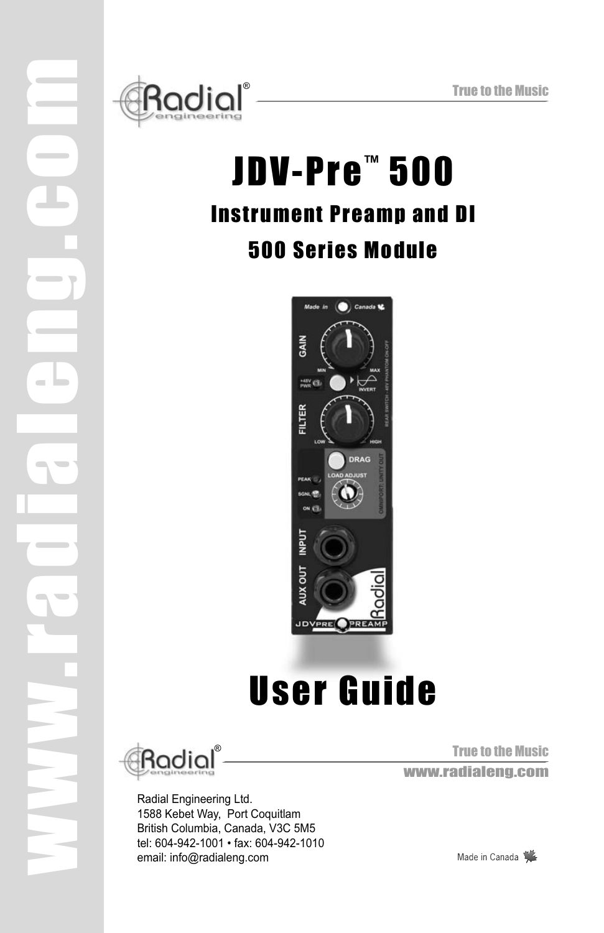

# JDV-Pre™ 500 Instrument Preamp and DI 500 Series Module



# User Guide



www.radialeng.com

 $\sim$ 

Radial Engineering Ltd. 1588 Kebet Way, Port Coquitlam British Columbia, Canada, V3C 5M5 tel: 604-942-1001 • fax: 604-942-1010 email: info@radialeng.com

True to the Music www.radialeng.com

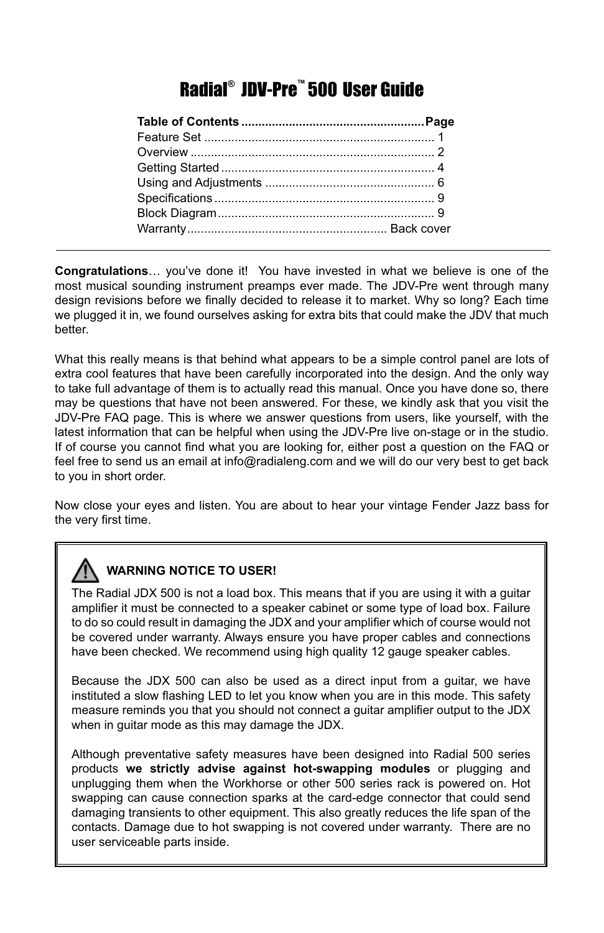## Radial® JDV-Pre™ 500 User Guide

**Congratulations**… you've done it! You have invested in what we believe is one of the most musical sounding instrument preamps ever made. The JDV-Pre went through many design revisions before we finally decided to release it to market. Why so long? Each time we plugged it in, we found ourselves asking for extra bits that could make the JDV that much better.

What this really means is that behind what appears to be a simple control panel are lots of extra cool features that have been carefully incorporated into the design. And the only way to take full advantage of them is to actually read this manual. Once you have done so, there may be questions that have not been answered. For these, we kindly ask that you visit the JDV-Pre FAQ page. This is where we answer questions from users, like yourself, with the latest information that can be helpful when using the JDV-Pre live on-stage or in the studio. If of course you cannot find what you are looking for, either post a question on the FAQ or feel free to send us an email at info@radialeng.com and we will do our very best to get back to you in short order.

Now close your eyes and listen. You are about to hear your vintage Fender Jazz bass for the very first time.

## **WARNING NOTICE TO USER!**

The Radial JDX 500 is not a load box. This means that if you are using it with a guitar amplifier it must be connected to a speaker cabinet or some type of load box. Failure to do so could result in damaging the JDX and your amplifier which of course would not be covered under warranty. Always ensure you have proper cables and connections have been checked. We recommend using high quality 12 gauge speaker cables.

Because the JDX 500 can also be used as a direct input from a guitar, we have instituted a slow flashing LED to let you know when you are in this mode. This safety measure reminds you that you should not connect a guitar amplifier output to the JDX when in guitar mode as this may damage the JDX.

Although preventative safety measures have been designed into Radial 500 series products **we strictly advise against hot-swapping modules** or plugging and unplugging them when the Workhorse or other 500 series rack is powered on. Hot swapping can cause connection sparks at the card-edge connector that could send damaging transients to other equipment. This also greatly reduces the life span of the contacts. Damage due to hot swapping is not covered under warranty. There are no user serviceable parts inside.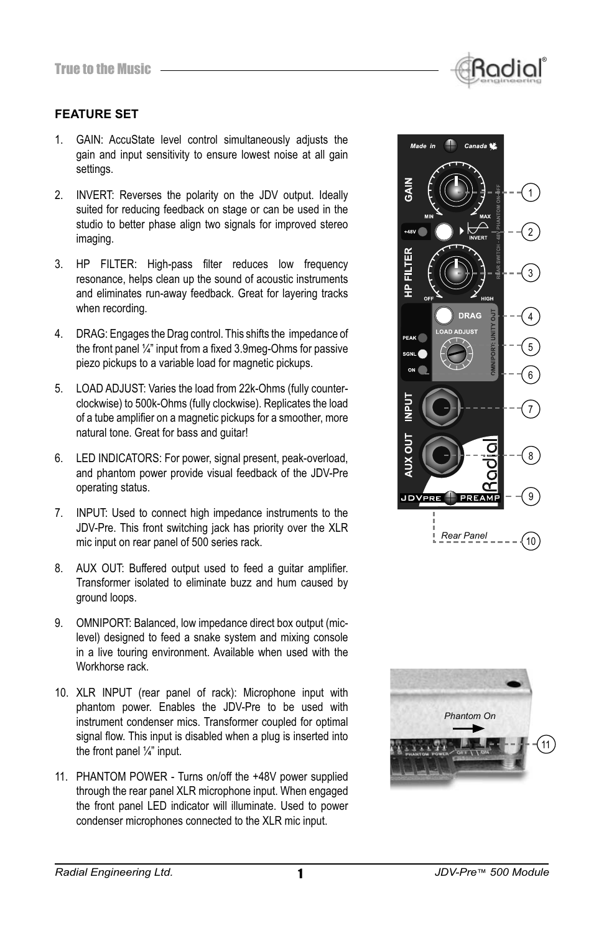

- 1. GAIN: AccuState level control simultaneously adjusts the gain and input sensitivity to ensure lowest noise at all gain settings.
- 2. INVERT: Reverses the polarity on the JDV output. Ideally suited for reducing feedback on stage or can be used in the studio to better phase align two signals for improved stereo imaging.
- 3. HP FILTER: High-pass filter reduces low frequency resonance, helps clean up the sound of acoustic instruments and eliminates run-away feedback. Great for layering tracks when recording.
- 4. DRAG: Engages the Drag control. This shifts the impedance of the front panel  $\frac{1}{4}$ " input from a fixed 3.9meg-Ohms for passive piezo pickups to a variable load for magnetic pickups.
- 5. LOAD ADJUST: Varies the load from 22k-Ohms (fully counterclockwise) to 500k-Ohms (fully clockwise). Replicates the load of a tube amplifier on a magnetic pickups for a smoother, more natural tone. Great for bass and guitar!
- 6. LED INDICATORS: For power, signal present, peak-overload, and phantom power provide visual feedback of the JDV-Pre operating status.
- 7. INPUT: Used to connect high impedance instruments to the JDV-Pre. This front switching jack has priority over the XLR mic input on rear panel of 500 series rack.
- 8. AUX OUT: Buffered output used to feed a quitar amplifier. Transformer isolated to eliminate buzz and hum caused by ground loops.
- 9. OMNIPORT: Balanced, low impedance direct box output (miclevel) designed to feed a snake system and mixing console in a live touring environment. Available when used with the Workhorse rack.
- 10. XLR INPUT (rear panel of rack): Microphone input with phantom power. Enables the JDV-Pre to be used with instrument condenser mics. Transformer coupled for optimal signal flow. This input is disabled when a plug is inserted into the front panel ¼" input.
- 11. PHANTOM POWER Turns on/off the +48V power supplied through the rear panel XLR microphone input. When engaged the front panel LED indicator will illuminate. Used to power condenser microphones connected to the XLR mic input.



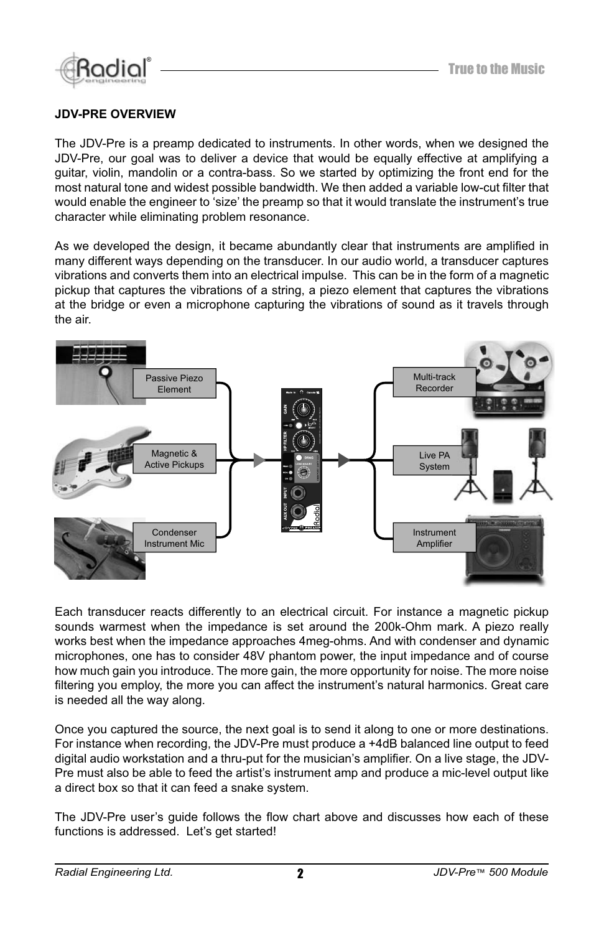

#### **JDV-PRE OVERVIEW**

The JDV-Pre is a preamp dedicated to instruments. In other words, when we designed the JDV-Pre, our goal was to deliver a device that would be equally effective at amplifying a guitar, violin, mandolin or a contra-bass. So we started by optimizing the front end for the most natural tone and widest possible bandwidth. We then added a variable low-cut filter that would enable the engineer to 'size' the preamp so that it would translate the instrument's true character while eliminating problem resonance.

As we developed the design, it became abundantly clear that instruments are amplified in many different ways depending on the transducer. In our audio world, a transducer captures vibrations and converts them into an electrical impulse. This can be in the form of a magnetic pickup that captures the vibrations of a string, a piezo element that captures the vibrations at the bridge or even a microphone capturing the vibrations of sound as it travels through the air.



Each transducer reacts differently to an electrical circuit. For instance a magnetic pickup sounds warmest when the impedance is set around the 200k-Ohm mark. A piezo really works best when the impedance approaches 4meg-ohms. And with condenser and dynamic microphones, one has to consider 48V phantom power, the input impedance and of course how much gain you introduce. The more gain, the more opportunity for noise. The more noise filtering you employ, the more you can affect the instrument's natural harmonics. Great care is needed all the way along.

Once you captured the source, the next goal is to send it along to one or more destinations. For instance when recording, the JDV-Pre must produce a +4dB balanced line output to feed digital audio workstation and a thru-put for the musician's amplifier. On a live stage, the JDV-Pre must also be able to feed the artist's instrument amp and produce a mic-level output like a direct box so that it can feed a snake system.

The JDV-Pre user's guide follows the flow chart above and discusses how each of these functions is addressed. Let's get started!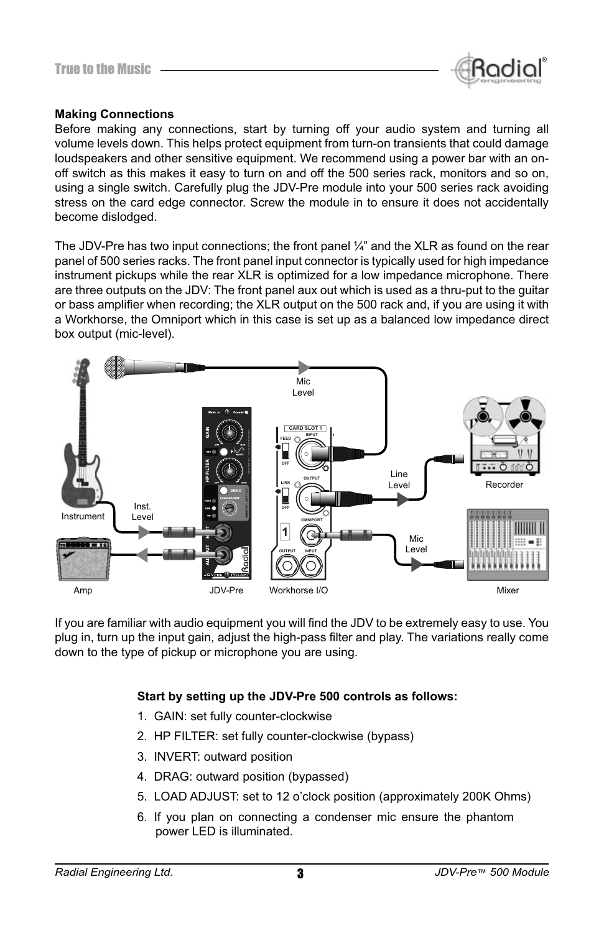

#### **Making Connections**

Before making any connections, start by turning off your audio system and turning all volume levels down. This helps protect equipment from turn-on transients that could damage loudspeakers and other sensitive equipment. We recommend using a power bar with an onoff switch as this makes it easy to turn on and off the 500 series rack, monitors and so on, using a single switch. Carefully plug the JDV-Pre module into your 500 series rack avoiding stress on the card edge connector. Screw the module in to ensure it does not accidentally become dislodged.

The JDV-Pre has two input connections; the front panel ¼" and the XLR as found on the rear panel of 500 series racks. The front panel input connector is typically used for high impedance instrument pickups while the rear XLR is optimized for a low impedance microphone. There are three outputs on the JDV: The front panel aux out which is used as a thru-put to the guitar or bass amplifier when recording; the XLR output on the 500 rack and, if you are using it with a Workhorse, the Omniport which in this case is set up as a balanced low impedance direct box output (mic-level).



If you are familiar with audio equipment you will find the JDV to be extremely easy to use. You plug in, turn up the input gain, adjust the high-pass filter and play. The variations really come down to the type of pickup or microphone you are using.

#### **Start by setting up the JDV-Pre 500 controls as follows:**

- 1. GAIN: set fully counter-clockwise
- 2. HP FILTER: set fully counter-clockwise (bypass)
- 3. INVERT: outward position
- 4. DRAG: outward position (bypassed)
- 5. LOAD ADJUST: set to 12 o'clock position (approximately 200K Ohms)
- 6. If you plan on connecting a condenser mic ensure the phantom power LED is illuminated.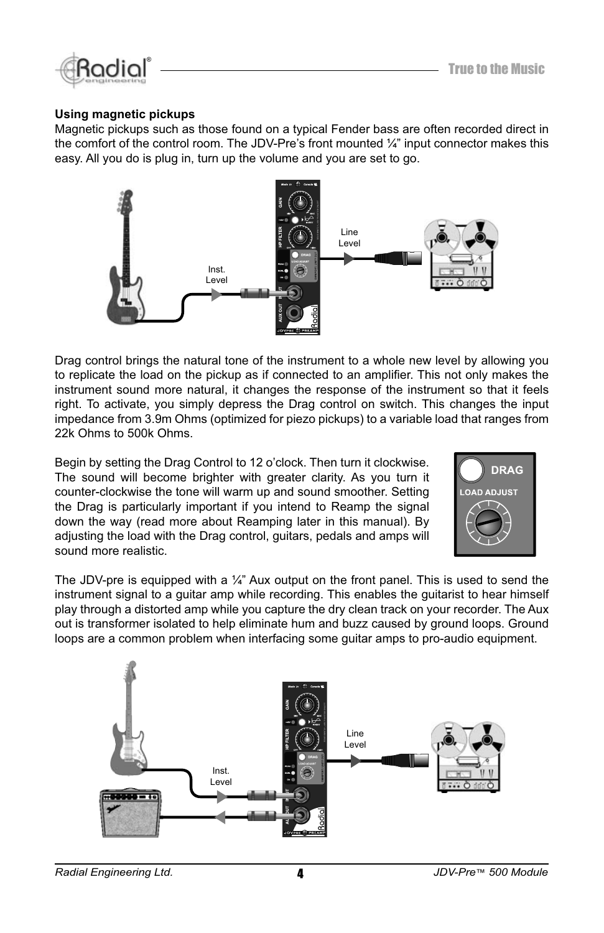

#### **Using magnetic pickups**

Magnetic pickups such as those found on a typical Fender bass are often recorded direct in the comfort of the control room. The JDV-Pre's front mounted  $\frac{1}{4}$ " input connector makes this easy. All you do is plug in, turn up the volume and you are set to go.



Drag control brings the natural tone of the instrument to a whole new level by allowing you to replicate the load on the pickup as if connected to an amplifier. This not only makes the instrument sound more natural, it changes the response of the instrument so that it feels right. To activate, you simply depress the Drag control on switch. This changes the input impedance from 3.9m Ohms (optimized for piezo pickups) to a variable load that ranges from 22k Ohms to 500k Ohms.

Begin by setting the Drag Control to 12 o'clock. Then turn it clockwise. The sound will become brighter with greater clarity. As you turn it counter-clockwise the tone will warm up and sound smoother. Setting the Drag is particularly important if you intend to Reamp the signal down the way (read more about Reamping later in this manual). By adjusting the load with the Drag control, guitars, pedals and amps will sound more realistic.



The JDV-pre is equipped with a  $\frac{1}{4}$ " Aux output on the front panel. This is used to send the instrument signal to a guitar amp while recording. This enables the guitarist to hear himself play through a distorted amp while you capture the dry clean track on your recorder. The Aux out is transformer isolated to help eliminate hum and buzz caused by ground loops. Ground loops are a common problem when interfacing some guitar amps to pro-audio equipment.

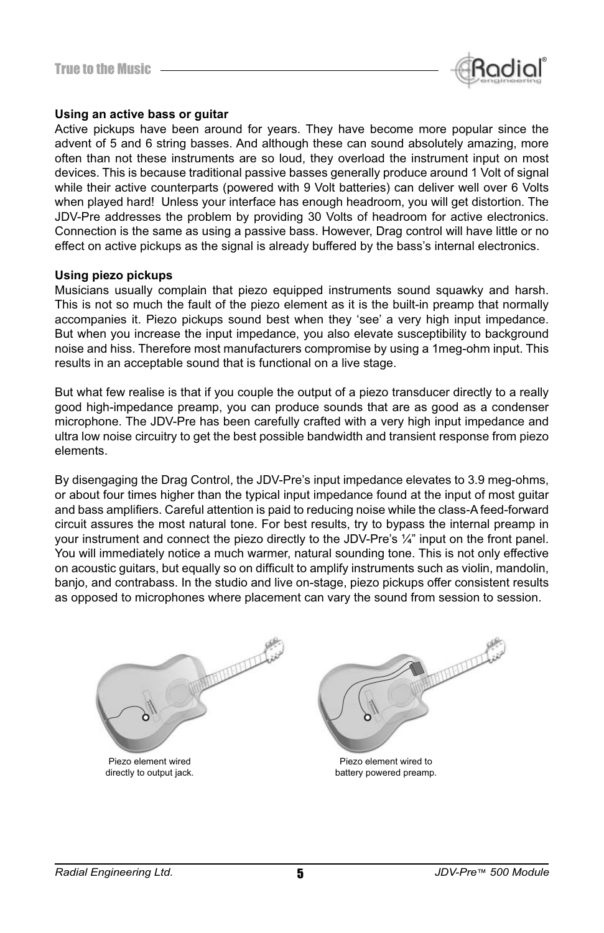

#### **Using an active bass or guitar**

Active pickups have been around for years. They have become more popular since the advent of 5 and 6 string basses. And although these can sound absolutely amazing, more often than not these instruments are so loud, they overload the instrument input on most devices. This is because traditional passive basses generally produce around 1 Volt of signal while their active counterparts (powered with 9 Volt batteries) can deliver well over 6 Volts when played hard! Unless your interface has enough headroom, you will get distortion. The JDV-Pre addresses the problem by providing 30 Volts of headroom for active electronics. Connection is the same as using a passive bass. However, Drag control will have little or no effect on active pickups as the signal is already buffered by the bass's internal electronics.

#### **Using piezo pickups**

Musicians usually complain that piezo equipped instruments sound squawky and harsh. This is not so much the fault of the piezo element as it is the built-in preamp that normally accompanies it. Piezo pickups sound best when they 'see' a very high input impedance. But when you increase the input impedance, you also elevate susceptibility to background noise and hiss. Therefore most manufacturers compromise by using a 1meg-ohm input. This results in an acceptable sound that is functional on a live stage.

But what few realise is that if you couple the output of a piezo transducer directly to a really good high-impedance preamp, you can produce sounds that are as good as a condenser microphone. The JDV-Pre has been carefully crafted with a very high input impedance and ultra low noise circuitry to get the best possible bandwidth and transient response from piezo elements.

By disengaging the Drag Control, the JDV-Pre's input impedance elevates to 3.9 meg-ohms, or about four times higher than the typical input impedance found at the input of most guitar and bass amplifiers. Careful attention is paid to reducing noise while the class-A feed-forward circuit assures the most natural tone. For best results, try to bypass the internal preamp in your instrument and connect the piezo directly to the JDV-Pre's ¼" input on the front panel. You will immediately notice a much warmer, natural sounding tone. This is not only effective on acoustic quitars, but equally so on difficult to amplify instruments such as violin, mandolin, banjo, and contrabass. In the studio and live on-stage, piezo pickups offer consistent results as opposed to microphones where placement can vary the sound from session to session.



Piezo element wired directly to output jack.



Piezo element wired to battery powered preamp.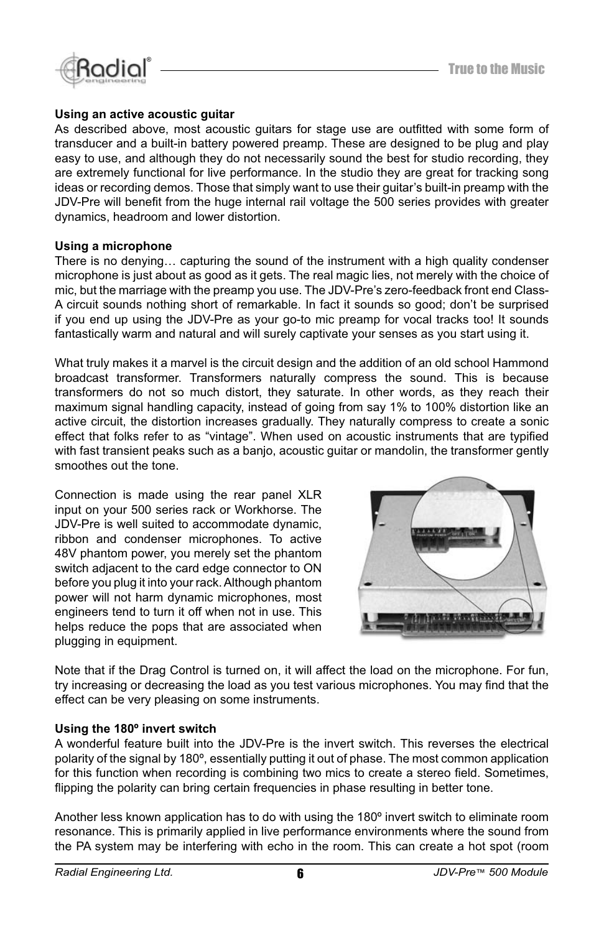

#### **Using an active acoustic guitar**

As described above, most acoustic quitars for stage use are outfitted with some form of transducer and a built-in battery powered preamp. These are designed to be plug and play easy to use, and although they do not necessarily sound the best for studio recording, they are extremely functional for live performance. In the studio they are great for tracking song ideas or recording demos. Those that simply want to use their guitar's built-in preamp with the JDV-Pre will benefit from the huge internal rail voltage the 500 series provides with greater dynamics, headroom and lower distortion.

#### **Using a microphone**

There is no denying… capturing the sound of the instrument with a high quality condenser microphone is just about as good as it gets. The real magic lies, not merely with the choice of mic, but the marriage with the preamp you use. The JDV-Pre's zero-feedback front end Class-A circuit sounds nothing short of remarkable. In fact it sounds so good; don't be surprised if you end up using the JDV-Pre as your go-to mic preamp for vocal tracks too! It sounds fantastically warm and natural and will surely captivate your senses as you start using it.

What truly makes it a marvel is the circuit design and the addition of an old school Hammond broadcast transformer. Transformers naturally compress the sound. This is because transformers do not so much distort, they saturate. In other words, as they reach their maximum signal handling capacity, instead of going from say 1% to 100% distortion like an active circuit, the distortion increases gradually. They naturally compress to create a sonic effect that folks refer to as "vintage". When used on acoustic instruments that are typified with fast transient peaks such as a banjo, acoustic guitar or mandolin, the transformer gently smoothes out the tone.

Connection is made using the rear panel XLR input on your 500 series rack or Workhorse. The JDV-Pre is well suited to accommodate dynamic, ribbon and condenser microphones. To active 48V phantom power, you merely set the phantom switch adjacent to the card edge connector to ON before you plug it into your rack. Although phantom power will not harm dynamic microphones, most engineers tend to turn it off when not in use. This helps reduce the pops that are associated when plugging in equipment.



Note that if the Drag Control is turned on, it will affect the load on the microphone. For fun, try increasing or decreasing the load as you test various microphones. You may find that the effect can be very pleasing on some instruments.

#### **Using the 180º invert switch**

A wonderful feature built into the JDV-Pre is the invert switch. This reverses the electrical polarity of the signal by 180º, essentially putting it out of phase. The most common application for this function when recording is combining two mics to create a stereo field. Sometimes, flipping the polarity can bring certain frequencies in phase resulting in better tone.

Another less known application has to do with using the 180° invert switch to eliminate room resonance. This is primarily applied in live performance environments where the sound from the PA system may be interfering with echo in the room. This can create a hot spot (room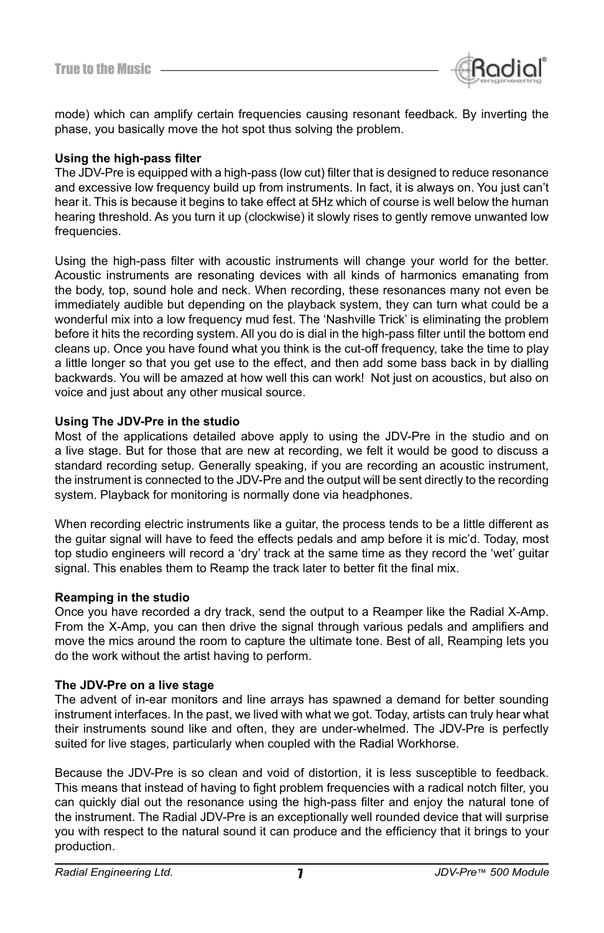

mode) which can amplify certain frequencies causing resonant feedback. By inverting the phase, you basically move the hot spot thus solving the problem.

#### Using the high-pass filter

The JDV-Pre is equipped with a high-pass (low cut) filter that is designed to reduce resonance and excessive low frequency build up from instruments. In fact, it is always on. You just can't hear it. This is because it begins to take effect at 5Hz which of course is well below the human hearing threshold. As you turn it up (clockwise) it slowly rises to gently remove unwanted low frequencies.

Using the high-pass filter with acoustic instruments will change your world for the better. Acoustic instruments are resonating devices with all kinds of harmonics emanating from the body, top, sound hole and neck. When recording, these resonances many not even be immediately audible but depending on the playback system, they can turn what could be a wonderful mix into a low frequency mud fest. The 'Nashville Trick' is eliminating the problem before it hits the recording system. All you do is dial in the high-pass filter until the bottom end cleans up. Once you have found what you think is the cut-off frequency, take the time to play a little longer so that you get use to the effect, and then add some bass back in by dialling backwards. You will be amazed at how well this can work! Not just on acoustics, but also on voice and just about any other musical source.

#### **Using The JDV-Pre in the studio**

Most of the applications detailed above apply to using the JDV-Pre in the studio and on a live stage. But for those that are new at recording, we felt it would be good to discuss a standard recording setup. Generally speaking, if you are recording an acoustic instrument, the instrument is connected to the JDV-Pre and the output will be sent directly to the recording system. Playback for monitoring is normally done via headphones.

When recording electric instruments like a guitar, the process tends to be a little different as the guitar signal will have to feed the effects pedals and amp before it is mic'd. Today, most top studio engineers will record a 'dry' track at the same time as they record the 'wet' guitar signal. This enables them to Reamp the track later to better fit the final mix.

#### **Reamping in the studio**

Once you have recorded a dry track, send the output to a Reamper like the Radial X-Amp. From the X-Amp, you can then drive the signal through various pedals and amplifiers and move the mics around the room to capture the ultimate tone. Best of all, Reamping lets you do the work without the artist having to perform.

#### **The JDV-Pre on a live stage**

The advent of in-ear monitors and line arrays has spawned a demand for better sounding instrument interfaces. In the past, we lived with what we got. Today, artists can truly hear what their instruments sound like and often, they are under-whelmed. The JDV-Pre is perfectly suited for live stages, particularly when coupled with the Radial Workhorse.

Because the JDV-Pre is so clean and void of distortion, it is less susceptible to feedback. This means that instead of having to fight problem frequencies with a radical notch filter, you can quickly dial out the resonance using the high-pass filter and enjoy the natural tone of the instrument. The Radial JDV-Pre is an exceptionally well rounded device that will surprise you with respect to the natural sound it can produce and the efficiency that it brings to your production.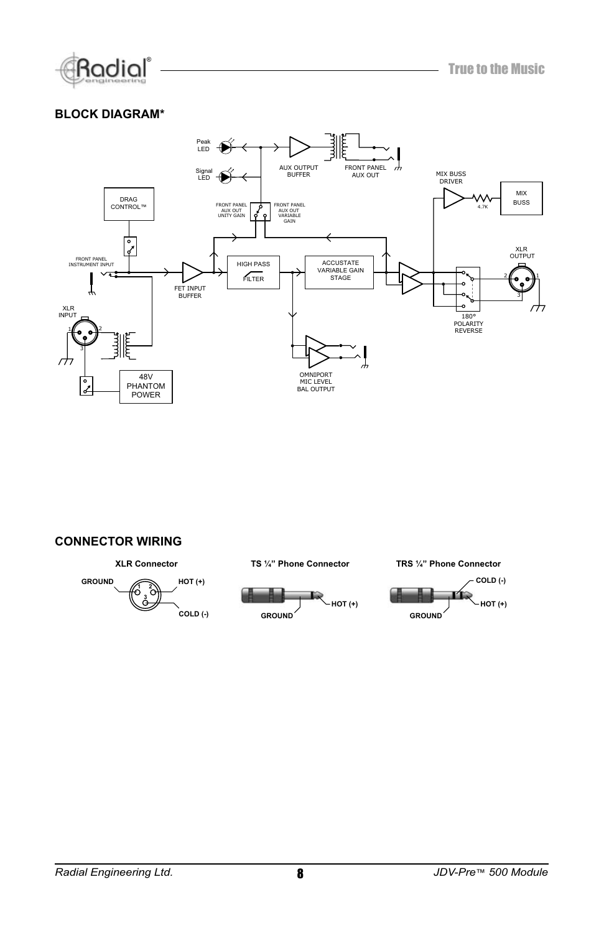

#### **BLOCK DIAGRAM\***



#### **CONNECTOR WIRING**

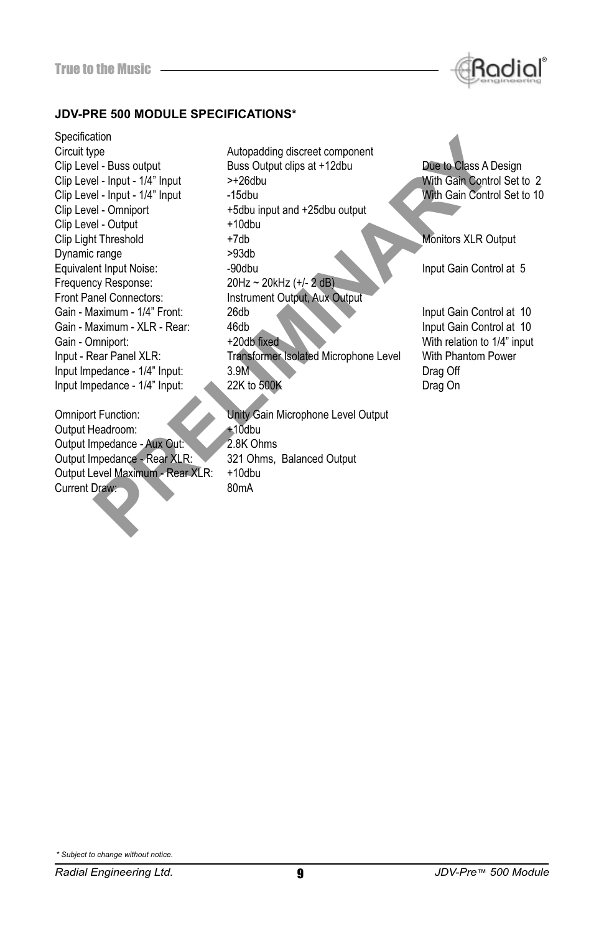

#### **JDV-PRE 500 MODULE SPECIFICATIONS\***

Specification Circuit type **Autopadding discreet component** Clip Level - Input - 1/4" Input Clip Level - Omniport +5dbu input and +25dbu output Clip Level - Output +10dbu Dynamic range <br>
Fruivalent Innut Noise<br>
Fruivalent Innut Noise Frequency Response: 20Hz ~ 20kHz (+/- 2 dB) Front Panel Connectors: Instrument Output, Aux Output Omniport Function:<br>
Output Headroom: 10dbu<br>
10dbu Output Headroom: +10dbu<br>Output Impedance - Aux Out: +10dbu

Output Impedance - Aux Out:<br>Output Impedance - Rear XLR: Output Level Maximum - Rear XLR: +10dbu Current Draw:

**Example 1**<br>
Prelies output 1<br>
Prelies the torical and the substrate of the Class A D<br>
Prelies the torical and the transformer and the transformer and the transformer<br>
Prelies to the transformer and the transformer and th Clip Level - Buss output **Buss Output clips at +12dbu** Due to Class A Design Clip Level - Input - 1/4" Input > +26dbu With Gain Control Set to 2<br>Clip Level - Input - 1/4" Input - 15dbu With Gain Control Set to 10 Clip Light Threshold **+7db** +7db Monitors XLR Output **Monitors XLR** Output Equivalent Input Noise: -90dbu Input Gain Control at 5 and 10 and 10 and 10 and 10 and 10 and 10 and 10 and 10 and 10 and 10 and 10 and 10 and 10 and 10 and 10 and 10 Gain - Maximum - XLR - Rear: 46db Input Gain Control at 10<br>
Gain - Omniport: 40db 1/4" input Gain Control at 10<br>
With relation to 1/4" input Input - Rear Panel XLR: Transformer Isolated Microphone Level With Phantom Power Input Impedance - 1/4" Input: 3.9M<br>
Input Impedance - 1/4" Input: 22K to 500K<br>
Drag On Input Impedance - 1/4" Input: 22K to 500K Drag On

321 Ohms, Balanced Output

With relation to 1/4" input

*\* Subject to change without notice.*